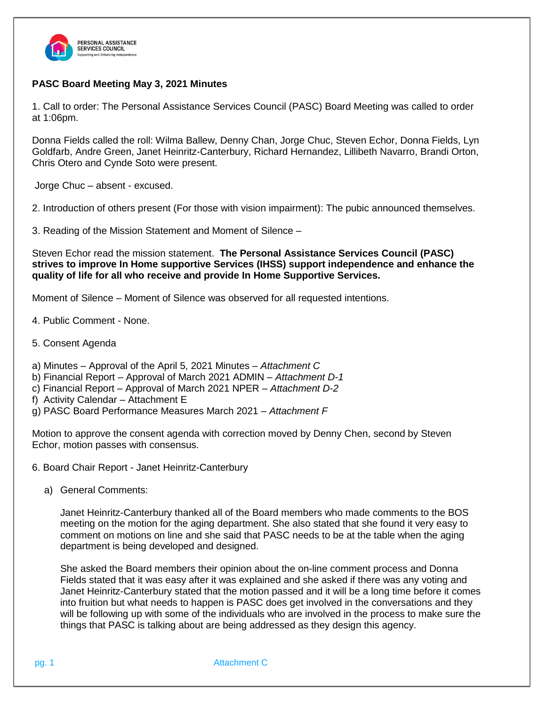

## **PASC Board Meeting May 3, 2021 Minutes**

1. Call to order: The Personal Assistance Services Council (PASC) Board Meeting was called to order at 1:06pm.

Donna Fields called the roll: Wilma Ballew, Denny Chan, Jorge Chuc, Steven Echor, Donna Fields, Lyn Goldfarb, Andre Green, Janet Heinritz-Canterbury, Richard Hernandez, Lillibeth Navarro, Brandi Orton, Chris Otero and Cynde Soto were present.

Jorge Chuc – absent - excused.

2. Introduction of others present (For those with vision impairment): The pubic announced themselves.

3. Reading of the Mission Statement and Moment of Silence –

Steven Echor read the mission statement. **The Personal Assistance Services Council (PASC) strives to improve In Home supportive Services (IHSS) support independence and enhance the quality of life for all who receive and provide In Home Supportive Services.**

Moment of Silence – Moment of Silence was observed for all requested intentions.

- 4. Public Comment None.
- 5. Consent Agenda
- a) Minutes Approval of the April 5, 2021 Minutes *Attachment C*
- b) Financial Report Approval of March 2021 ADMIN *Attachment D-1*
- c) Financial Report Approval of March 2021 NPER *Attachment D-2*
- f) Activity Calendar Attachment E
- g) PASC Board Performance Measures March 2021 *– Attachment F*

Motion to approve the consent agenda with correction moved by Denny Chen, second by Steven Echor, motion passes with consensus.

- 6. Board Chair Report Janet Heinritz-Canterbury
	- a) General Comments:

Janet Heinritz-Canterbury thanked all of the Board members who made comments to the BOS meeting on the motion for the aging department. She also stated that she found it very easy to comment on motions on line and she said that PASC needs to be at the table when the aging department is being developed and designed.

She asked the Board members their opinion about the on-line comment process and Donna Fields stated that it was easy after it was explained and she asked if there was any voting and Janet Heinritz-Canterbury stated that the motion passed and it will be a long time before it comes into fruition but what needs to happen is PASC does get involved in the conversations and they will be following up with some of the individuals who are involved in the process to make sure the things that PASC is talking about are being addressed as they design this agency.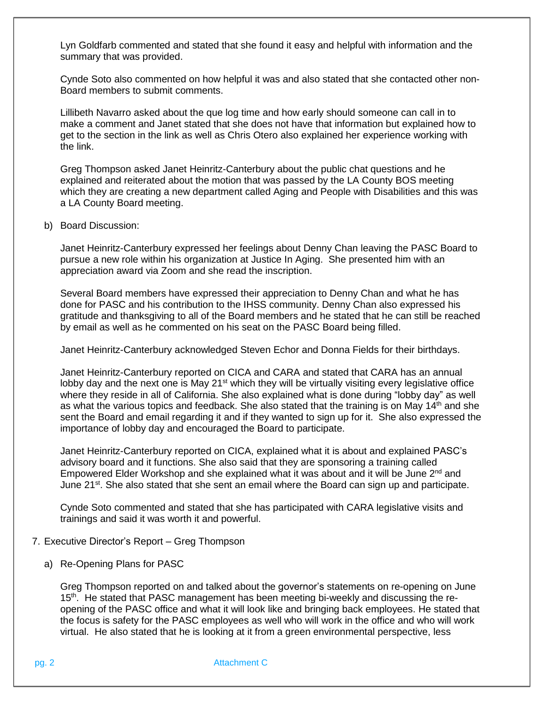Lyn Goldfarb commented and stated that she found it easy and helpful with information and the summary that was provided.

Cynde Soto also commented on how helpful it was and also stated that she contacted other non-Board members to submit comments.

Lillibeth Navarro asked about the que log time and how early should someone can call in to make a comment and Janet stated that she does not have that information but explained how to get to the section in the link as well as Chris Otero also explained her experience working with the link.

Greg Thompson asked Janet Heinritz-Canterbury about the public chat questions and he explained and reiterated about the motion that was passed by the LA County BOS meeting which they are creating a new department called Aging and People with Disabilities and this was a LA County Board meeting.

b) Board Discussion:

Janet Heinritz-Canterbury expressed her feelings about Denny Chan leaving the PASC Board to pursue a new role within his organization at Justice In Aging. She presented him with an appreciation award via Zoom and she read the inscription.

Several Board members have expressed their appreciation to Denny Chan and what he has done for PASC and his contribution to the IHSS community. Denny Chan also expressed his gratitude and thanksgiving to all of the Board members and he stated that he can still be reached by email as well as he commented on his seat on the PASC Board being filled.

Janet Heinritz-Canterbury acknowledged Steven Echor and Donna Fields for their birthdays.

Janet Heinritz-Canterbury reported on CICA and CARA and stated that CARA has an annual lobby day and the next one is May 21<sup>st</sup> which they will be virtually visiting every legislative office where they reside in all of California. She also explained what is done during "lobby day" as well as what the various topics and feedback. She also stated that the training is on May 14<sup>th</sup> and she sent the Board and email regarding it and if they wanted to sign up for it. She also expressed the importance of lobby day and encouraged the Board to participate.

Janet Heinritz-Canterbury reported on CICA, explained what it is about and explained PASC's advisory board and it functions. She also said that they are sponsoring a training called Empowered Elder Workshop and she explained what it was about and it will be June 2<sup>nd</sup> and June 21<sup>st</sup>. She also stated that she sent an email where the Board can sign up and participate.

Cynde Soto commented and stated that she has participated with CARA legislative visits and trainings and said it was worth it and powerful.

- 7. Executive Director's Report Greg Thompson
	- a) Re-Opening Plans for PASC

Greg Thompson reported on and talked about the governor's statements on re-opening on June 15<sup>th</sup>. He stated that PASC management has been meeting bi-weekly and discussing the reopening of the PASC office and what it will look like and bringing back employees. He stated that the focus is safety for the PASC employees as well who will work in the office and who will work virtual. He also stated that he is looking at it from a green environmental perspective, less

pg. 2 Attachment C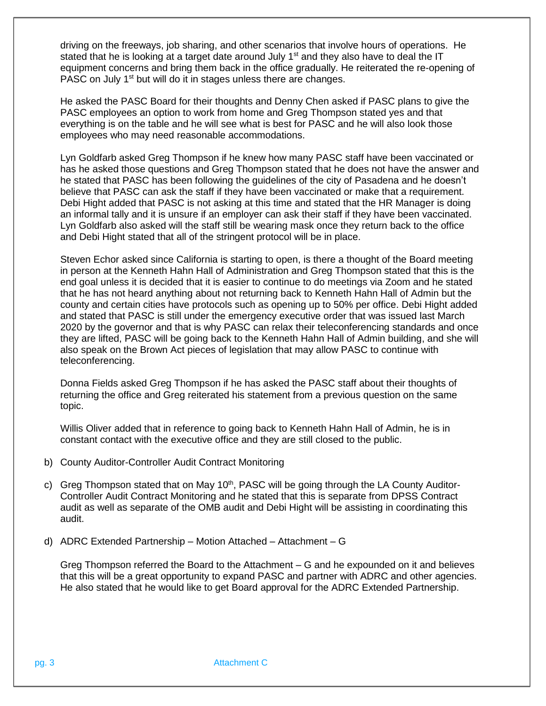driving on the freeways, job sharing, and other scenarios that involve hours of operations. He stated that he is looking at a target date around July 1<sup>st</sup> and they also have to deal the IT equipment concerns and bring them back in the office gradually. He reiterated the re-opening of PASC on July 1<sup>st</sup> but will do it in stages unless there are changes.

He asked the PASC Board for their thoughts and Denny Chen asked if PASC plans to give the PASC employees an option to work from home and Greg Thompson stated yes and that everything is on the table and he will see what is best for PASC and he will also look those employees who may need reasonable accommodations.

Lyn Goldfarb asked Greg Thompson if he knew how many PASC staff have been vaccinated or has he asked those questions and Greg Thompson stated that he does not have the answer and he stated that PASC has been following the guidelines of the city of Pasadena and he doesn't believe that PASC can ask the staff if they have been vaccinated or make that a requirement. Debi Hight added that PASC is not asking at this time and stated that the HR Manager is doing an informal tally and it is unsure if an employer can ask their staff if they have been vaccinated. Lyn Goldfarb also asked will the staff still be wearing mask once they return back to the office and Debi Hight stated that all of the stringent protocol will be in place.

Steven Echor asked since California is starting to open, is there a thought of the Board meeting in person at the Kenneth Hahn Hall of Administration and Greg Thompson stated that this is the end goal unless it is decided that it is easier to continue to do meetings via Zoom and he stated that he has not heard anything about not returning back to Kenneth Hahn Hall of Admin but the county and certain cities have protocols such as opening up to 50% per office. Debi Hight added and stated that PASC is still under the emergency executive order that was issued last March 2020 by the governor and that is why PASC can relax their teleconferencing standards and once they are lifted, PASC will be going back to the Kenneth Hahn Hall of Admin building, and she will also speak on the Brown Act pieces of legislation that may allow PASC to continue with teleconferencing.

Donna Fields asked Greg Thompson if he has asked the PASC staff about their thoughts of returning the office and Greg reiterated his statement from a previous question on the same topic.

Willis Oliver added that in reference to going back to Kenneth Hahn Hall of Admin, he is in constant contact with the executive office and they are still closed to the public.

- b) County Auditor-Controller Audit Contract Monitoring
- c) Greg Thompson stated that on May 10<sup>th</sup>, PASC will be going through the LA County Auditor-Controller Audit Contract Monitoring and he stated that this is separate from DPSS Contract audit as well as separate of the OMB audit and Debi Hight will be assisting in coordinating this audit.
- d) ADRC Extended Partnership Motion Attached Attachment G

Greg Thompson referred the Board to the Attachment – G and he expounded on it and believes that this will be a great opportunity to expand PASC and partner with ADRC and other agencies. He also stated that he would like to get Board approval for the ADRC Extended Partnership.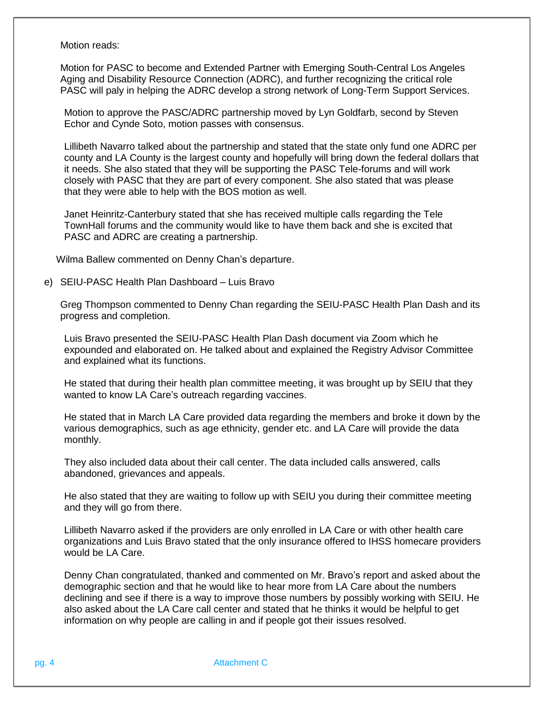Motion reads:

Motion for PASC to become and Extended Partner with Emerging South-Central Los Angeles Aging and Disability Resource Connection (ADRC), and further recognizing the critical role PASC will paly in helping the ADRC develop a strong network of Long-Term Support Services.

Motion to approve the PASC/ADRC partnership moved by Lyn Goldfarb, second by Steven Echor and Cynde Soto, motion passes with consensus.

Lillibeth Navarro talked about the partnership and stated that the state only fund one ADRC per county and LA County is the largest county and hopefully will bring down the federal dollars that it needs. She also stated that they will be supporting the PASC Tele-forums and will work closely with PASC that they are part of every component. She also stated that was please that they were able to help with the BOS motion as well.

Janet Heinritz-Canterbury stated that she has received multiple calls regarding the Tele TownHall forums and the community would like to have them back and she is excited that PASC and ADRC are creating a partnership.

Wilma Ballew commented on Denny Chan's departure.

e) SEIU-PASC Health Plan Dashboard – Luis Bravo

Greg Thompson commented to Denny Chan regarding the SEIU-PASC Health Plan Dash and its progress and completion.

Luis Bravo presented the SEIU-PASC Health Plan Dash document via Zoom which he expounded and elaborated on. He talked about and explained the Registry Advisor Committee and explained what its functions.

He stated that during their health plan committee meeting, it was brought up by SEIU that they wanted to know LA Care's outreach regarding vaccines.

He stated that in March LA Care provided data regarding the members and broke it down by the various demographics, such as age ethnicity, gender etc. and LA Care will provide the data monthly.

They also included data about their call center. The data included calls answered, calls abandoned, grievances and appeals.

He also stated that they are waiting to follow up with SEIU you during their committee meeting and they will go from there.

Lillibeth Navarro asked if the providers are only enrolled in LA Care or with other health care organizations and Luis Bravo stated that the only insurance offered to IHSS homecare providers would be LA Care.

Denny Chan congratulated, thanked and commented on Mr. Bravo's report and asked about the demographic section and that he would like to hear more from LA Care about the numbers declining and see if there is a way to improve those numbers by possibly working with SEIU. He also asked about the LA Care call center and stated that he thinks it would be helpful to get information on why people are calling in and if people got their issues resolved.

pg. 4 **Attachment C**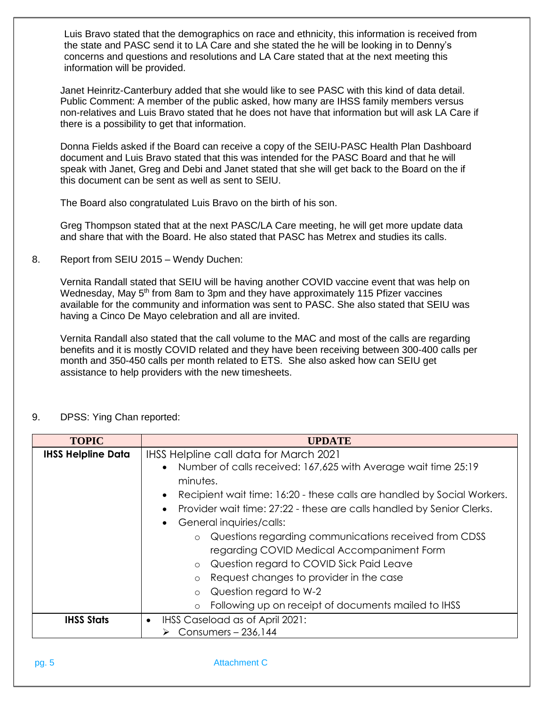Luis Bravo stated that the demographics on race and ethnicity, this information is received from the state and PASC send it to LA Care and she stated the he will be looking in to Denny's concerns and questions and resolutions and LA Care stated that at the next meeting this information will be provided.

Janet Heinritz-Canterbury added that she would like to see PASC with this kind of data detail. Public Comment: A member of the public asked, how many are IHSS family members versus non-relatives and Luis Bravo stated that he does not have that information but will ask LA Care if there is a possibility to get that information.

Donna Fields asked if the Board can receive a copy of the SEIU-PASC Health Plan Dashboard document and Luis Bravo stated that this was intended for the PASC Board and that he will speak with Janet, Greg and Debi and Janet stated that she will get back to the Board on the if this document can be sent as well as sent to SEIU.

The Board also congratulated Luis Bravo on the birth of his son.

Greg Thompson stated that at the next PASC/LA Care meeting, he will get more update data and share that with the Board. He also stated that PASC has Metrex and studies its calls.

8. Report from SEIU 2015 – Wendy Duchen:

Vernita Randall stated that SEIU will be having another COVID vaccine event that was help on Wednesday, May 5<sup>th</sup> from 8am to 3pm and they have approximately 115 Pfizer vaccines available for the community and information was sent to PASC. She also stated that SEIU was having a Cinco De Mayo celebration and all are invited.

Vernita Randall also stated that the call volume to the MAC and most of the calls are regarding benefits and it is mostly COVID related and they have been receiving between 300-400 calls per month and 350-450 calls per month related to ETS. She also asked how can SEIU get assistance to help providers with the new timesheets.

| <b>TOPIC</b>              | <b>UPDATE</b>                                                                                                                                                                                                                                                                                                                                                                                                                                                                                                                                                                                                                                                      |
|---------------------------|--------------------------------------------------------------------------------------------------------------------------------------------------------------------------------------------------------------------------------------------------------------------------------------------------------------------------------------------------------------------------------------------------------------------------------------------------------------------------------------------------------------------------------------------------------------------------------------------------------------------------------------------------------------------|
| <b>IHSS Helpline Data</b> | <b>IHSS Helpline call data for March 2021</b><br>Number of calls received: 167,625 with Average wait time 25:19<br>minutes.<br>Recipient wait time: 16:20 - these calls are handled by Social Workers.<br>$\bullet$<br>Provider wait time: 27:22 - these are calls handled by Senior Clerks.<br>General inquiries/calls:<br>$\bullet$<br>o Questions regarding communications received from CDSS<br>regarding COVID Medical Accompaniment Form<br>Question regard to COVID Sick Paid Leave<br>$\circ$<br>Request changes to provider in the case<br>$\circ$<br>Question regard to W-2<br>$\circ$<br>Following up on receipt of documents mailed to IHSS<br>$\circ$ |
| <b>IHSS Stats</b>         | IHSS Caseload as of April 2021:<br>Consumers - 236,144                                                                                                                                                                                                                                                                                                                                                                                                                                                                                                                                                                                                             |

9. DPSS: Ying Chan reported:

## pg. 5 Attachment C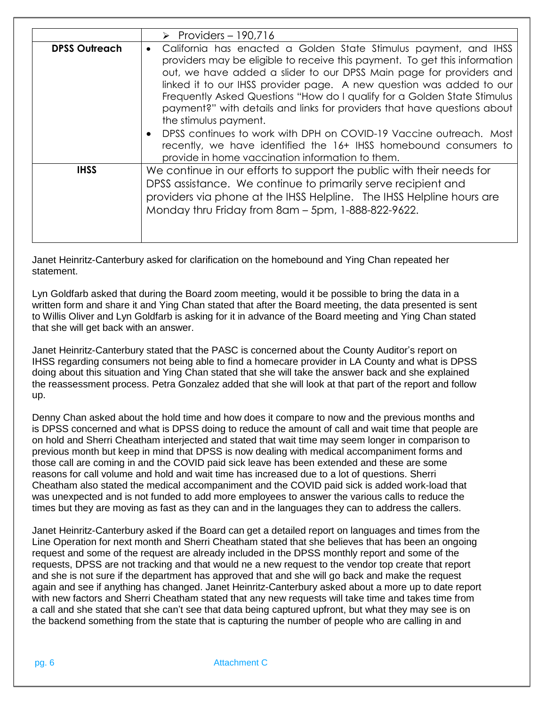|                      | $\triangleright$ Providers – 190,716                                                                                                                                                                                                                                                                                                                                                                                                                                                                                                                                                                                                                                                      |
|----------------------|-------------------------------------------------------------------------------------------------------------------------------------------------------------------------------------------------------------------------------------------------------------------------------------------------------------------------------------------------------------------------------------------------------------------------------------------------------------------------------------------------------------------------------------------------------------------------------------------------------------------------------------------------------------------------------------------|
| <b>DPSS Outreach</b> | California has enacted a Golden State Stimulus payment, and IHSS<br>$\bullet$<br>providers may be eligible to receive this payment. To get this information<br>out, we have added a slider to our DPSS Main page for providers and<br>linked it to our IHSS provider page. A new question was added to our<br>Frequently Asked Questions "How do I qualify for a Golden State Stimulus<br>payment?" with details and links for providers that have questions about<br>the stimulus payment.<br>DPSS continues to work with DPH on COVID-19 Vaccine outreach. Most<br>recently, we have identified the 16+ IHSS homebound consumers to<br>provide in home vaccination information to them. |
| <b>IHSS</b>          | We continue in our efforts to support the public with their needs for<br>DPSS assistance. We continue to primarily serve recipient and<br>providers via phone at the IHSS Helpline. The IHSS Helpline hours are<br>Monday thru Friday from 8am - 5pm, 1-888-822-9622.                                                                                                                                                                                                                                                                                                                                                                                                                     |

Janet Heinritz-Canterbury asked for clarification on the homebound and Ying Chan repeated her statement.

Lyn Goldfarb asked that during the Board zoom meeting, would it be possible to bring the data in a written form and share it and Ying Chan stated that after the Board meeting, the data presented is sent to Willis Oliver and Lyn Goldfarb is asking for it in advance of the Board meeting and Ying Chan stated that she will get back with an answer.

Janet Heinritz-Canterbury stated that the PASC is concerned about the County Auditor's report on IHSS regarding consumers not being able to find a homecare provider in LA County and what is DPSS doing about this situation and Ying Chan stated that she will take the answer back and she explained the reassessment process. Petra Gonzalez added that she will look at that part of the report and follow up.

Denny Chan asked about the hold time and how does it compare to now and the previous months and is DPSS concerned and what is DPSS doing to reduce the amount of call and wait time that people are on hold and Sherri Cheatham interjected and stated that wait time may seem longer in comparison to previous month but keep in mind that DPSS is now dealing with medical accompaniment forms and those call are coming in and the COVID paid sick leave has been extended and these are some reasons for call volume and hold and wait time has increased due to a lot of questions. Sherri Cheatham also stated the medical accompaniment and the COVID paid sick is added work-load that was unexpected and is not funded to add more employees to answer the various calls to reduce the times but they are moving as fast as they can and in the languages they can to address the callers.

Janet Heinritz-Canterbury asked if the Board can get a detailed report on languages and times from the Line Operation for next month and Sherri Cheatham stated that she believes that has been an ongoing request and some of the request are already included in the DPSS monthly report and some of the requests, DPSS are not tracking and that would ne a new request to the vendor top create that report and she is not sure if the department has approved that and she will go back and make the request again and see if anything has changed. Janet Heinritz-Canterbury asked about a more up to date report with new factors and Sherri Cheatham stated that any new requests will take time and takes time from a call and she stated that she can't see that data being captured upfront, but what they may see is on the backend something from the state that is capturing the number of people who are calling in and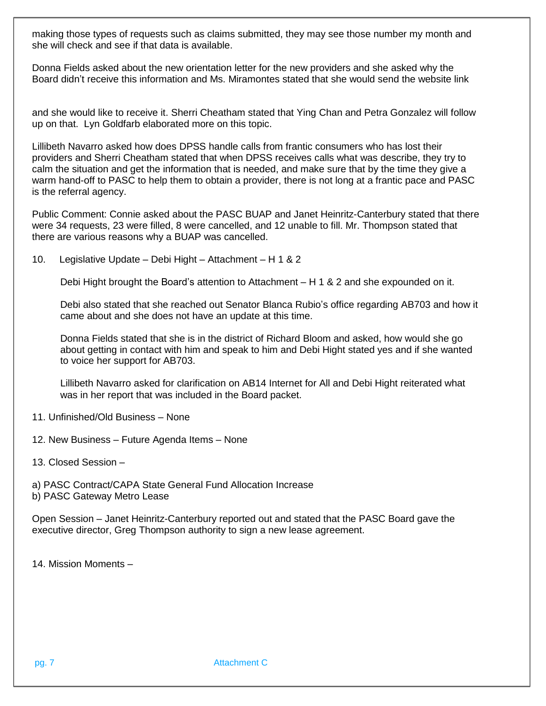making those types of requests such as claims submitted, they may see those number my month and she will check and see if that data is available.

Donna Fields asked about the new orientation letter for the new providers and she asked why the Board didn't receive this information and Ms. Miramontes stated that she would send the website link

and she would like to receive it. Sherri Cheatham stated that Ying Chan and Petra Gonzalez will follow up on that. Lyn Goldfarb elaborated more on this topic.

Lillibeth Navarro asked how does DPSS handle calls from frantic consumers who has lost their providers and Sherri Cheatham stated that when DPSS receives calls what was describe, they try to calm the situation and get the information that is needed, and make sure that by the time they give a warm hand-off to PASC to help them to obtain a provider, there is not long at a frantic pace and PASC is the referral agency.

Public Comment: Connie asked about the PASC BUAP and Janet Heinritz-Canterbury stated that there were 34 requests, 23 were filled, 8 were cancelled, and 12 unable to fill. Mr. Thompson stated that there are various reasons why a BUAP was cancelled.

10. Legislative Update – Debi Hight – Attachment – H 1 & 2

Debi Hight brought the Board's attention to Attachment – H 1 & 2 and she expounded on it.

Debi also stated that she reached out Senator Blanca Rubio's office regarding AB703 and how it came about and she does not have an update at this time.

Donna Fields stated that she is in the district of Richard Bloom and asked, how would she go about getting in contact with him and speak to him and Debi Hight stated yes and if she wanted to voice her support for AB703.

Lillibeth Navarro asked for clarification on AB14 Internet for All and Debi Hight reiterated what was in her report that was included in the Board packet.

- 11. Unfinished/Old Business None
- 12. New Business Future Agenda Items None

13. Closed Session –

a) PASC Contract/CAPA State General Fund Allocation Increase b) PASC Gateway Metro Lease

Open Session – Janet Heinritz-Canterbury reported out and stated that the PASC Board gave the executive director, Greg Thompson authority to sign a new lease agreement.

14. Mission Moments –